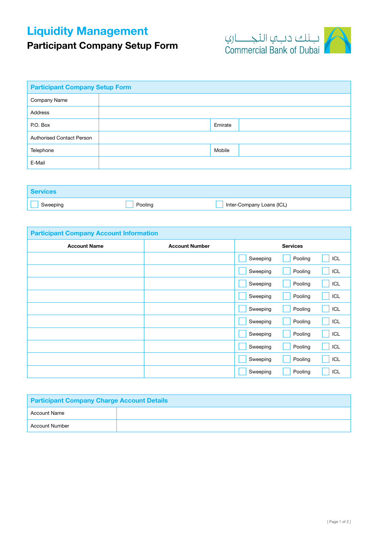## Liquidity Management

## Participant Company Setup Form



| <b>Participant Company Setup Form</b> |  |         |  |
|---------------------------------------|--|---------|--|
| Company Name                          |  |         |  |
| Address                               |  |         |  |
| P.O. Box                              |  | Emirate |  |
| <b>Authorised Contact Person</b>      |  |         |  |
| Telephone                             |  | Mobile  |  |
| E-Mail                                |  |         |  |

| <b>Services</b> |         |                           |
|-----------------|---------|---------------------------|
| Sweeping        | Pooling | Inter-Company Loans (ICL) |

| <b>Participant Company Account Information</b> |                       |          |                 |     |
|------------------------------------------------|-----------------------|----------|-----------------|-----|
| <b>Account Name</b>                            | <b>Account Number</b> |          | <b>Services</b> |     |
|                                                |                       | Sweeping | Pooling         | ICL |
|                                                |                       | Sweeping | Pooling         | ICL |
|                                                |                       | Sweeping | Pooling         | ICL |
|                                                |                       | Sweeping | Pooling         | ICL |
|                                                |                       | Sweeping | Pooling         | ICL |
|                                                |                       | Sweeping | Pooling         | ICL |
|                                                |                       | Sweeping | Pooling         | ICL |
|                                                |                       | Sweeping | Pooling         | ICL |
|                                                |                       | Sweeping | Pooling         | ICL |
|                                                |                       | Sweeping | Pooling         | ICL |

| <b>Participant Company Charge Account Details</b> |  |  |  |
|---------------------------------------------------|--|--|--|
| Account Name                                      |  |  |  |
| <b>Account Number</b>                             |  |  |  |